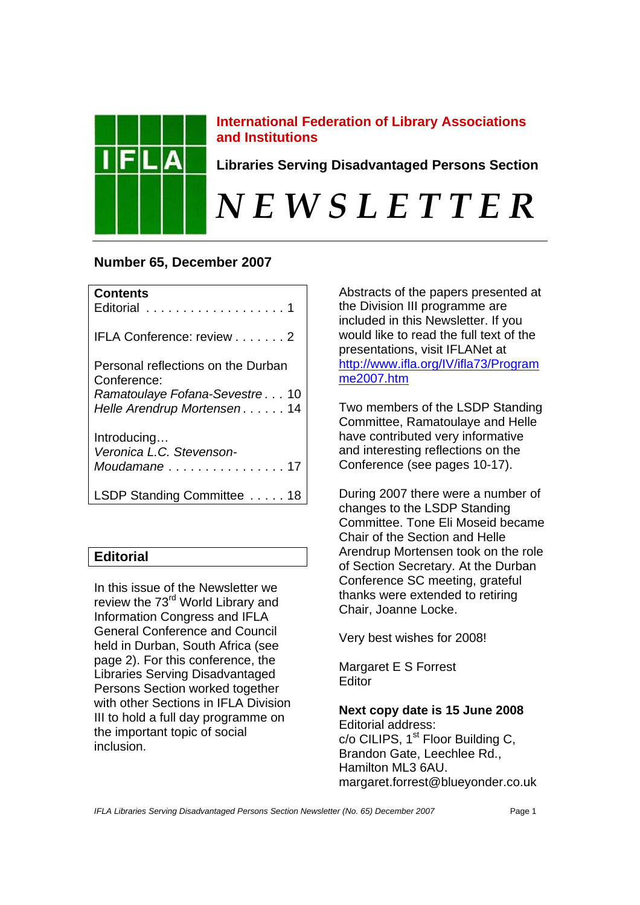

# **International Federation of Library Associations and Institutions**

**Libraries Serving Disadvantaged Persons Section** 

# *N E W S L E T T E R*

# **Number 65, December 2007**

| <b>Contents</b><br>Editorial 1                                                                                    |
|-------------------------------------------------------------------------------------------------------------------|
| IFLA Conference: review 2                                                                                         |
| Personal reflections on the Durban<br>Conference:<br>Ramatoulaye Fofana-Sevestre10<br>Helle Arendrup Mortensen 14 |
| Introducing<br>Veronica L.C. Stevenson-                                                                           |
| LSDP Standing Committee 18                                                                                        |

# **Editorial**

In this issue of the Newsletter we review the 73<sup>rd</sup> World Library and Information Congress and IFLA General Conference and Council held in Durban, South Africa (see page 2). For this conference, the Libraries Serving Disadvantaged Persons Section worked together with other Sections in IFLA Division III to hold a full day programme on the important topic of social inclusion.

Abstracts of the papers presented at the Division III programme are included in this Newsletter. If you would like to read the full text of the presentations, visit IFLANet at http://www.ifla.org/IV/ifla73/Program me2007.htm

Two members of the LSDP Standing Committee, Ramatoulaye and Helle have contributed very informative and interesting reflections on the Conference (see pages 10-17).

During 2007 there were a number of changes to the LSDP Standing Committee. Tone Eli Moseid became Chair of the Section and Helle Arendrup Mortensen took on the role of Section Secretary. At the Durban Conference SC meeting, grateful thanks were extended to retiring Chair, Joanne Locke.

Very best wishes for 2008!

Margaret E S Forrest **Editor** 

**Next copy date is 15 June 2008**  Editorial address: c/o CILIPS, 1<sup>st</sup> Floor Building C, Brandon Gate, Leechlee Rd., Hamilton ML3 6AU. margaret.forrest@blueyonder.co.uk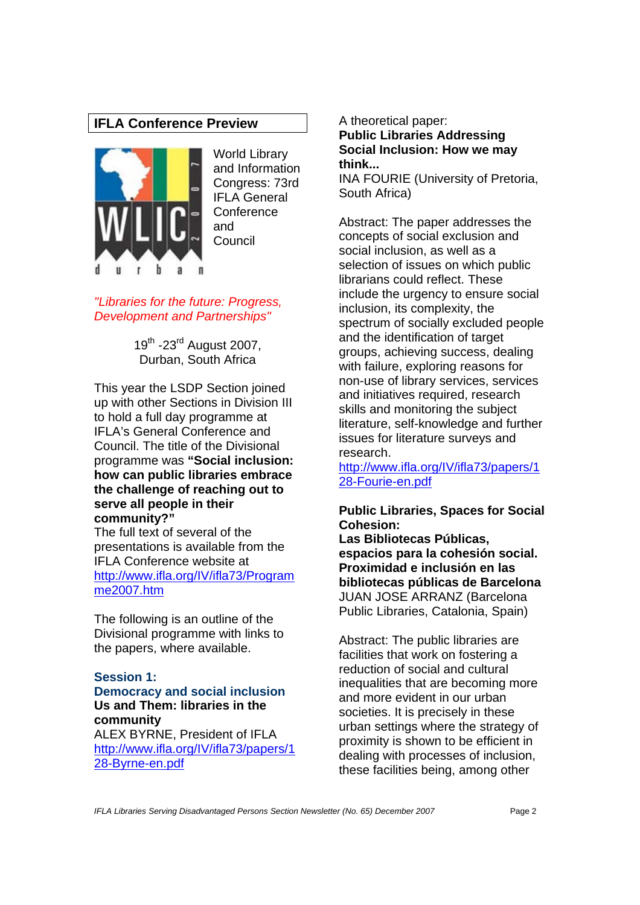# **IFLA Conference Preview**



World Library and Information Congress: 73rd IFI A General **Conference** and Council

*"Libraries for the future: Progress, Development and Partnerships"* 

> 19<sup>th</sup> -23<sup>rd</sup> August 2007, Durban, South Africa

This year the LSDP Section joined up with other Sections in Division III to hold a full day programme at IFLA's General Conference and Council. The title of the Divisional programme was **"Social inclusion: how can public libraries embrace the challenge of reaching out to serve all people in their community?"**

The full text of several of the presentations is available from the IFLA Conference website at http://www.ifla.org/IV/ifla73/Program me2007.htm

The following is an outline of the Divisional programme with links to the papers, where available.

## **Session 1:**

#### **Democracy and social inclusion Us and Them: libraries in the community**

ALEX BYRNE, President of IFLA http://www.ifla.org/IV/ifla73/papers/1 28-Byrne-en.pdf

A theoretical paper: **Public Libraries Addressing Social Inclusion: How we may think...** 

INA FOURIE (University of Pretoria, South Africa)

Abstract: The paper addresses the concepts of social exclusion and social inclusion, as well as a selection of issues on which public librarians could reflect. These include the urgency to ensure social inclusion, its complexity, the spectrum of socially excluded people and the identification of target groups, achieving success, dealing with failure, exploring reasons for non-use of library services, services and initiatives required, research skills and monitoring the subject literature, self-knowledge and further issues for literature surveys and research.

http://www.ifla.org/IV/ifla73/papers/1 28-Fourie-en.pdf

#### **Public Libraries, Spaces for Social Cohesion:**

**Las Bibliotecas Públicas, espacios para la cohesión social. Proximidad e inclusión en las bibliotecas públicas de Barcelona**  JUAN JOSE ARRANZ (Barcelona Public Libraries, Catalonia, Spain)

Abstract: The public libraries are facilities that work on fostering a reduction of social and cultural inequalities that are becoming more and more evident in our urban societies. It is precisely in these urban settings where the strategy of proximity is shown to be efficient in dealing with processes of inclusion, these facilities being, among other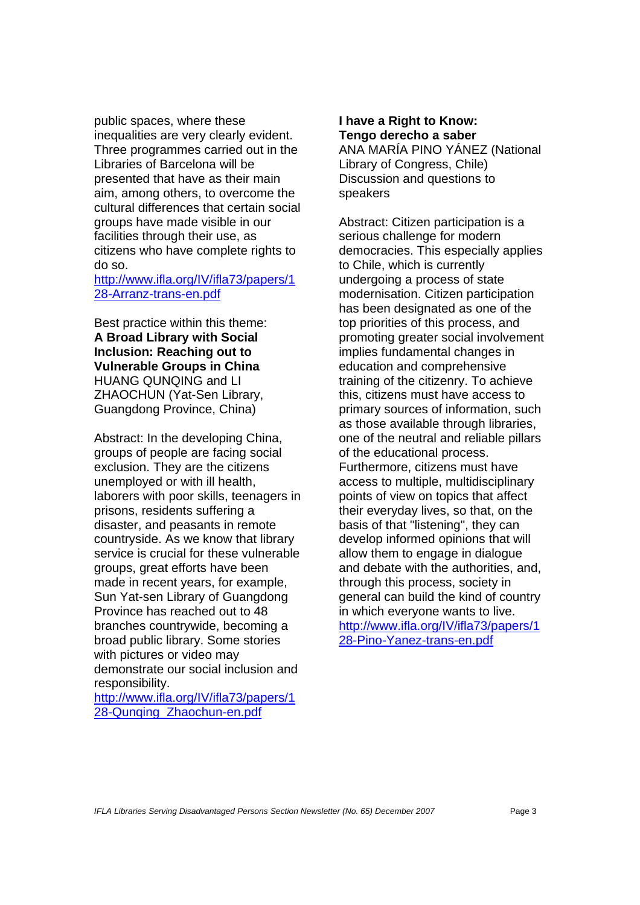public spaces, where these inequalities are very clearly evident. Three programmes carried out in the Libraries of Barcelona will be presented that have as their main aim, among others, to overcome the cultural differences that certain social groups have made visible in our facilities through their use, as citizens who have complete rights to do so.

http://www.ifla.org/IV/ifla73/papers/1 28-Arranz-trans-en.pdf

Best practice within this theme: **A Broad Library with Social Inclusion: Reaching out to Vulnerable Groups in China**  HUANG QUNQING and LI ZHAOCHUN (Yat-Sen Library, Guangdong Province, China)

Abstract: In the developing China, groups of people are facing social exclusion. They are the citizens unemployed or with ill health, laborers with poor skills, teenagers in prisons, residents suffering a disaster, and peasants in remote countryside. As we know that library service is crucial for these vulnerable groups, great efforts have been made in recent years, for example, Sun Yat-sen Library of Guangdong Province has reached out to 48 branches countrywide, becoming a broad public library. Some stories with pictures or video may demonstrate our social inclusion and responsibility.

http://www.ifla.org/IV/ifla73/papers/1 28-Qunging\_Zhaochun-en.pdf

# **I have a Right to Know: Tengo derecho a saber**

ANA MARÍA PINO YÁNEZ (National Library of Congress, Chile) Discussion and questions to speakers

Abstract: Citizen participation is a serious challenge for modern democracies. This especially applies to Chile, which is currently undergoing a process of state modernisation. Citizen participation has been designated as one of the top priorities of this process, and promoting greater social involvement implies fundamental changes in education and comprehensive training of the citizenry. To achieve this, citizens must have access to primary sources of information, such as those available through libraries, one of the neutral and reliable pillars of the educational process. Furthermore, citizens must have access to multiple, multidisciplinary points of view on topics that affect their everyday lives, so that, on the basis of that "listening", they can develop informed opinions that will allow them to engage in dialogue and debate with the authorities, and, through this process, society in general can build the kind of country in which everyone wants to live. http://www.ifla.org/IV/ifla73/papers/1 28-Pino-Yanez-trans-en.pdf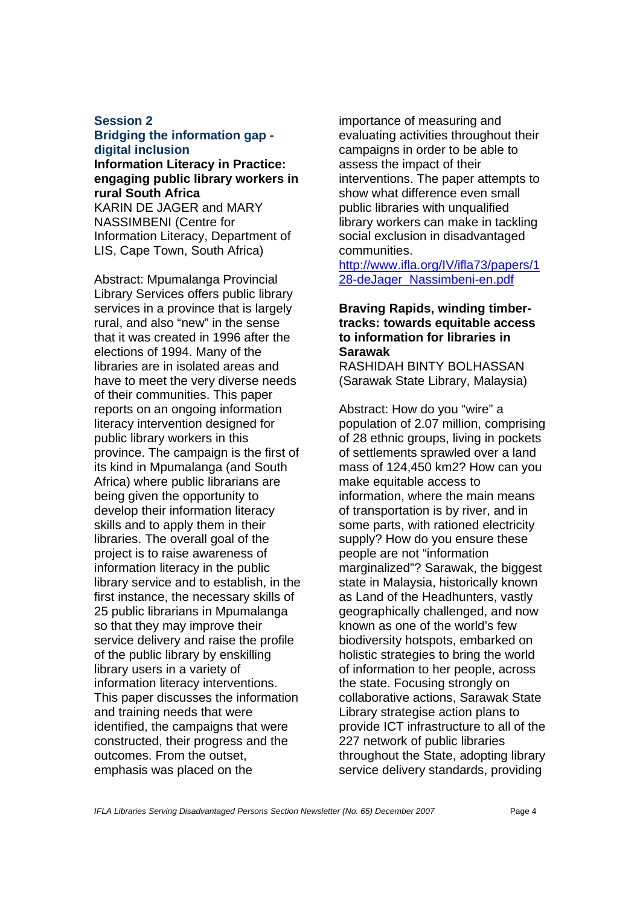#### **Session 2 Bridging the information gap digital inclusion**

**Information Literacy in Practice: engaging public library workers in rural South Africa**  KARIN DE JAGER and MARY NASSIMBENI (Centre for Information Literacy, Department of

LIS, Cape Town, South Africa)

Abstract: Mpumalanga Provincial Library Services offers public library services in a province that is largely rural, and also "new" in the sense that it was created in 1996 after the elections of 1994. Many of the libraries are in isolated areas and have to meet the very diverse needs of their communities. This paper reports on an ongoing information literacy intervention designed for public library workers in this province. The campaign is the first of its kind in Mpumalanga (and South Africa) where public librarians are being given the opportunity to develop their information literacy skills and to apply them in their libraries. The overall goal of the project is to raise awareness of information literacy in the public library service and to establish, in the first instance, the necessary skills of 25 public librarians in Mpumalanga so that they may improve their service delivery and raise the profile of the public library by enskilling library users in a variety of information literacy interventions. This paper discusses the information and training needs that were identified, the campaigns that were constructed, their progress and the outcomes. From the outset, emphasis was placed on the

importance of measuring and evaluating activities throughout their campaigns in order to be able to assess the impact of their interventions. The paper attempts to show what difference even small public libraries with unqualified library workers can make in tackling social exclusion in disadvantaged communities.

http://www.ifla.org/IV/ifla73/papers/1 28-deJager\_Nassimbeni-en.pdf

# **Braving Rapids, winding timbertracks: towards equitable access to information for libraries in Sarawak**

RASHIDAH BINTY BOLHASSAN (Sarawak State Library, Malaysia)

Abstract: How do you "wire" a population of 2.07 million, comprising of 28 ethnic groups, living in pockets of settlements sprawled over a land mass of 124,450 km2? How can you make equitable access to information, where the main means of transportation is by river, and in some parts, with rationed electricity supply? How do you ensure these people are not "information marginalized"? Sarawak, the biggest state in Malaysia, historically known as Land of the Headhunters, vastly geographically challenged, and now known as one of the world's few biodiversity hotspots, embarked on holistic strategies to bring the world of information to her people, across the state. Focusing strongly on collaborative actions, Sarawak State Library strategise action plans to provide ICT infrastructure to all of the 227 network of public libraries throughout the State, adopting library service delivery standards, providing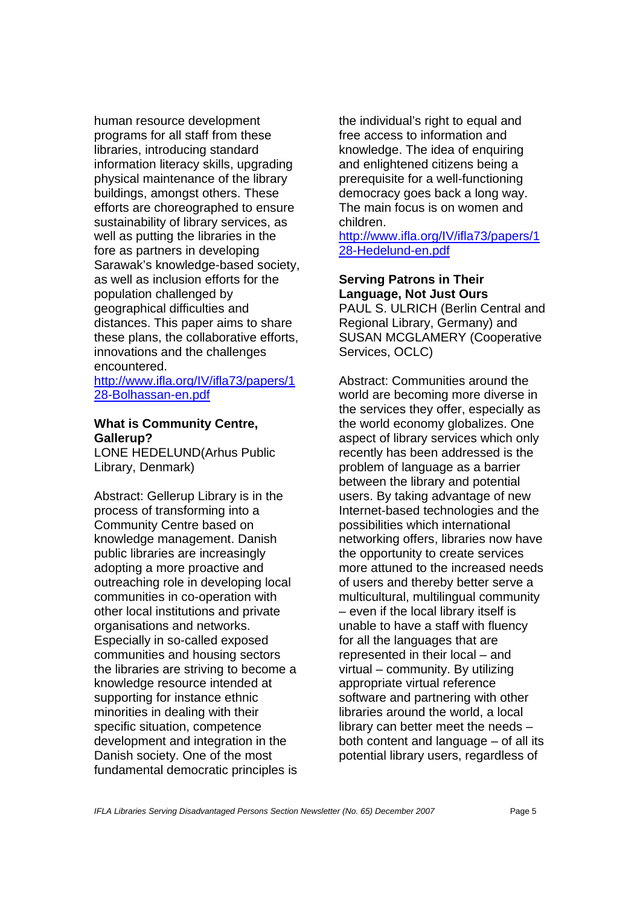human resource development programs for all staff from these libraries, introducing standard information literacy skills, upgrading physical maintenance of the library buildings, amongst others. These efforts are choreographed to ensure sustainability of library services, as well as putting the libraries in the fore as partners in developing Sarawak's knowledge-based society, as well as inclusion efforts for the population challenged by geographical difficulties and distances. This paper aims to share these plans, the collaborative efforts, innovations and the challenges encountered.

http://www.ifla.org/IV/ifla73/papers/1 28-Bolhassan-en.pdf

#### **What is Community Centre, Gallerup?**

LONE HEDELUND(Arhus Public Library, Denmark)

Abstract: Gellerup Library is in the process of transforming into a Community Centre based on knowledge management. Danish public libraries are increasingly adopting a more proactive and outreaching role in developing local communities in co-operation with other local institutions and private organisations and networks. Especially in so-called exposed communities and housing sectors the libraries are striving to become a knowledge resource intended at supporting for instance ethnic minorities in dealing with their specific situation, competence development and integration in the Danish society. One of the most fundamental democratic principles is the individual's right to equal and free access to information and knowledge. The idea of enquiring and enlightened citizens being a prerequisite for a well-functioning democracy goes back a long way. The main focus is on women and children.

http://www.ifla.org/IV/ifla73/papers/1 28-Hedelund-en.pdf

# **Serving Patrons in Their Language, Not Just Ours**

PAUL S. ULRICH (Berlin Central and Regional Library, Germany) and SUSAN MCGLAMERY (Cooperative Services, OCLC)

Abstract: Communities around the world are becoming more diverse in the services they offer, especially as the world economy globalizes. One aspect of library services which only recently has been addressed is the problem of language as a barrier between the library and potential users. By taking advantage of new Internet-based technologies and the possibilities which international networking offers, libraries now have the opportunity to create services more attuned to the increased needs of users and thereby better serve a multicultural, multilingual community – even if the local library itself is unable to have a staff with fluency for all the languages that are represented in their local – and virtual – community. By utilizing appropriate virtual reference software and partnering with other libraries around the world, a local library can better meet the needs – both content and language – of all its potential library users, regardless of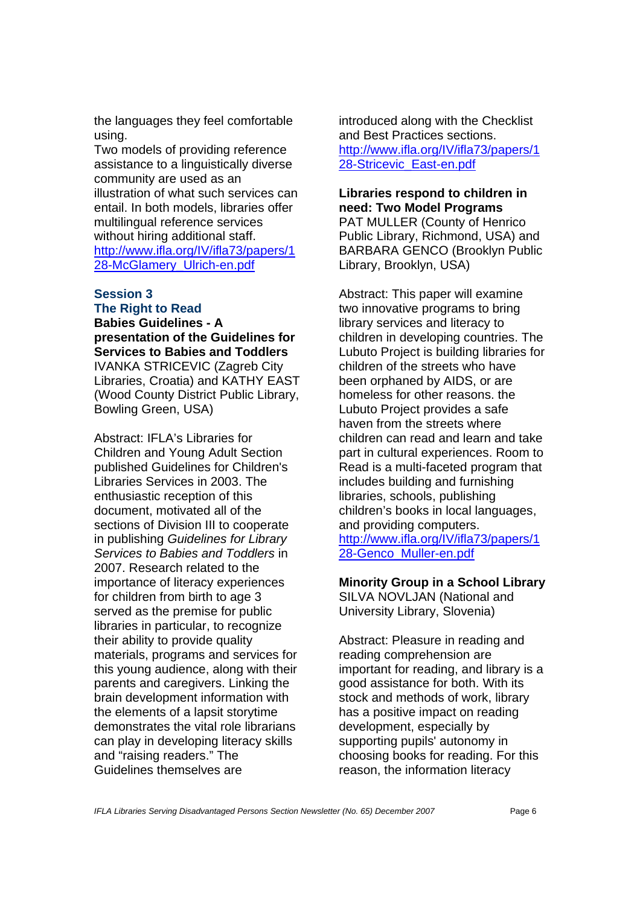the languages they feel comfortable using.

Two models of providing reference assistance to a linguistically diverse community are used as an illustration of what such services can entail. In both models, libraries offer multilingual reference services without hiring additional staff. http://www.ifla.org/IV/ifla73/papers/1 28-McGlamery\_Ulrich-en.pdf

#### **Session 3 The Right to Read**

**Babies Guidelines - A presentation of the Guidelines for Services to Babies and Toddlers**  IVANKA STRICEVIC (Zagreb City Libraries, Croatia) and KATHY EAST (Wood County District Public Library, Bowling Green, USA)

Abstract: IFLA's Libraries for Children and Young Adult Section published Guidelines for Children's Libraries Services in 2003. The enthusiastic reception of this document, motivated all of the sections of Division III to cooperate in publishing *Guidelines for Library Services to Babies and Toddlers* in 2007. Research related to the importance of literacy experiences for children from birth to age 3 served as the premise for public libraries in particular, to recognize their ability to provide quality materials, programs and services for this young audience, along with their parents and caregivers. Linking the brain development information with the elements of a lapsit storytime demonstrates the vital role librarians can play in developing literacy skills and "raising readers." The Guidelines themselves are

introduced along with the Checklist and Best Practices sections. http://www.ifla.org/IV/ifla73/papers/1 28-Stricevic\_East-en.pdf

# **Libraries respond to children in need: Two Model Programs**  PAT MULLER (County of Henrico Public Library, Richmond, USA) and BARBARA GENCO (Brooklyn Public Library, Brooklyn, USA)

Abstract: This paper will examine two innovative programs to bring library services and literacy to children in developing countries. The Lubuto Project is building libraries for children of the streets who have been orphaned by AIDS, or are homeless for other reasons. the Lubuto Project provides a safe haven from the streets where children can read and learn and take part in cultural experiences. Room to Read is a multi-faceted program that includes building and furnishing libraries, schools, publishing children's books in local languages, and providing computers. http://www.ifla.org/IV/ifla73/papers/1 28-Genco\_Muller-en.pdf

# **Minority Group in a School Library**

SILVA NOVLJAN (National and University Library, Slovenia)

Abstract: Pleasure in reading and reading comprehension are important for reading, and library is a good assistance for both. With its stock and methods of work, library has a positive impact on reading development, especially by supporting pupils' autonomy in choosing books for reading. For this reason, the information literacy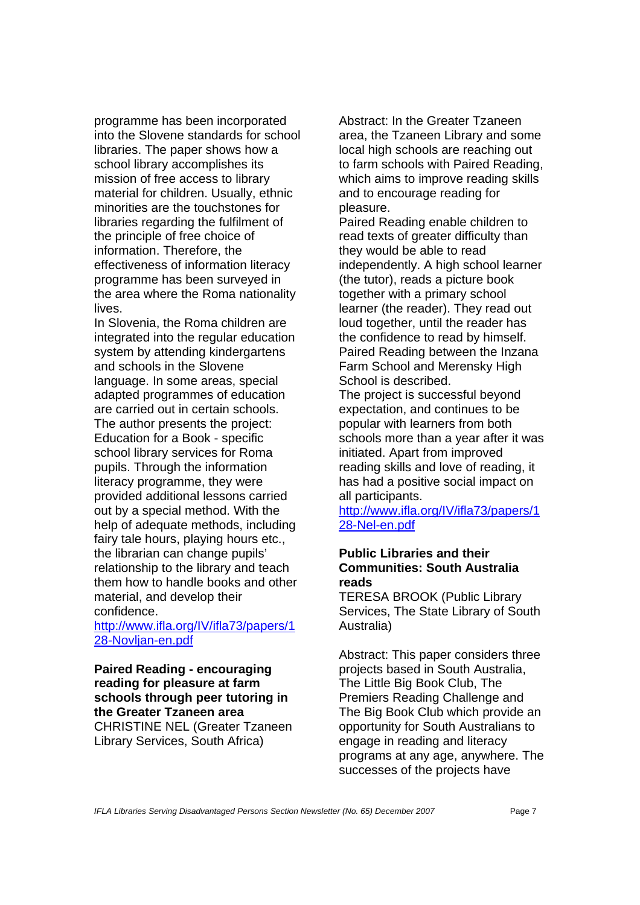programme has been incorporated into the Slovene standards for school libraries. The paper shows how a school library accomplishes its mission of free access to library material for children. Usually, ethnic minorities are the touchstones for libraries regarding the fulfilment of the principle of free choice of information. Therefore, the effectiveness of information literacy programme has been surveyed in the area where the Roma nationality lives.

In Slovenia, the Roma children are integrated into the regular education system by attending kindergartens and schools in the Slovene language. In some areas, special adapted programmes of education are carried out in certain schools. The author presents the project: Education for a Book - specific school library services for Roma pupils. Through the information literacy programme, they were provided additional lessons carried out by a special method. With the help of adequate methods, including fairy tale hours, playing hours etc., the librarian can change pupils' relationship to the library and teach them how to handle books and other material, and develop their confidence.

http://www.ifla.org/IV/ifla73/papers/1 28-Novljan-en.pdf

#### **Paired Reading - encouraging reading for pleasure at farm schools through peer tutoring in the Greater Tzaneen area**  CHRISTINE NEL (Greater Tzaneen Library Services, South Africa)

Abstract: In the Greater Tzaneen area, the Tzaneen Library and some local high schools are reaching out to farm schools with Paired Reading, which aims to improve reading skills and to encourage reading for pleasure.

Paired Reading enable children to read texts of greater difficulty than they would be able to read independently. A high school learner (the tutor), reads a picture book together with a primary school learner (the reader). They read out loud together, until the reader has the confidence to read by himself. Paired Reading between the Inzana Farm School and Merensky High School is described.

The project is successful beyond expectation, and continues to be popular with learners from both schools more than a year after it was initiated. Apart from improved reading skills and love of reading, it has had a positive social impact on all participants.

http://www.ifla.org/IV/ifla73/papers/1 28-Nel-en.pdf

# **Public Libraries and their Communities: South Australia reads**

TERESA BROOK (Public Library Services, The State Library of South Australia)

Abstract: This paper considers three projects based in South Australia, The Little Big Book Club, The Premiers Reading Challenge and The Big Book Club which provide an opportunity for South Australians to engage in reading and literacy programs at any age, anywhere. The successes of the projects have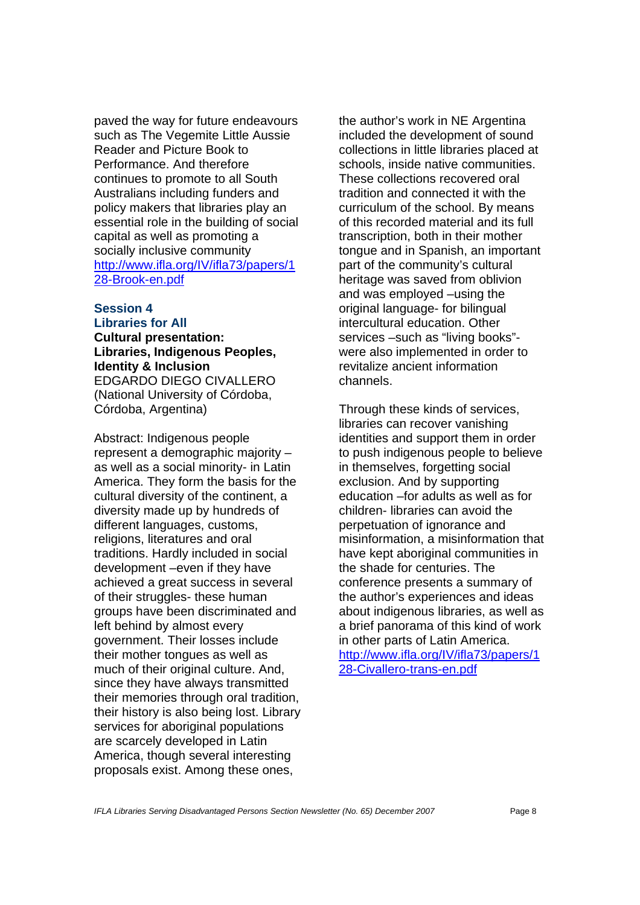paved the way for future endeavours such as The Vegemite Little Aussie Reader and Picture Book to Performance. And therefore continues to promote to all South Australians including funders and policy makers that libraries play an essential role in the building of social capital as well as promoting a socially inclusive community http://www.ifla.org/IV/ifla73/papers/1 28-Brook-en.pdf

# **Session 4 Libraries for All**

**Cultural presentation: Libraries, Indigenous Peoples, Identity & Inclusion** EDGARDO DIEGO CIVALLERO (National University of Córdoba, Córdoba, Argentina)

Abstract: Indigenous people represent a demographic majority – as well as a social minority- in Latin America. They form the basis for the cultural diversity of the continent, a diversity made up by hundreds of different languages, customs, religions, literatures and oral traditions. Hardly included in social development –even if they have achieved a great success in several of their struggles- these human groups have been discriminated and left behind by almost every government. Their losses include their mother tongues as well as much of their original culture. And, since they have always transmitted their memories through oral tradition, their history is also being lost. Library services for aboriginal populations are scarcely developed in Latin America, though several interesting proposals exist. Among these ones,

the author's work in NE Argentina included the development of sound collections in little libraries placed at schools, inside native communities. These collections recovered oral tradition and connected it with the curriculum of the school. By means of this recorded material and its full transcription, both in their mother tongue and in Spanish, an important part of the community's cultural heritage was saved from oblivion and was employed –using the original language- for bilingual intercultural education. Other services –such as "living books" were also implemented in order to revitalize ancient information channels.

Through these kinds of services, libraries can recover vanishing identities and support them in order to push indigenous people to believe in themselves, forgetting social exclusion. And by supporting education –for adults as well as for children- libraries can avoid the perpetuation of ignorance and misinformation, a misinformation that have kept aboriginal communities in the shade for centuries. The conference presents a summary of the author's experiences and ideas about indigenous libraries, as well as a brief panorama of this kind of work in other parts of Latin America. http://www.ifla.org/IV/ifla73/papers/1 28-Civallero-trans-en.pdf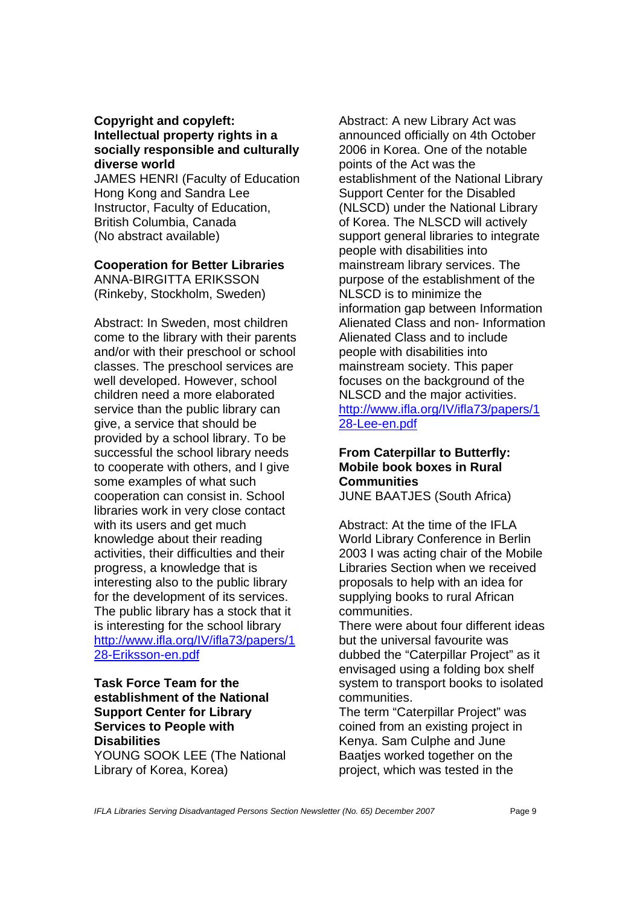# **Copyright and copyleft: Intellectual property rights in a socially responsible and culturally diverse world**

JAMES HENRI (Faculty of Education Hong Kong and Sandra Lee Instructor, Faculty of Education, British Columbia, Canada (No abstract available)

#### **Cooperation for Better Libraries**

ANNA-BIRGITTA ERIKSSON (Rinkeby, Stockholm, Sweden)

Abstract: In Sweden, most children come to the library with their parents and/or with their preschool or school classes. The preschool services are well developed. However, school children need a more elaborated service than the public library can give, a service that should be provided by a school library. To be successful the school library needs to cooperate with others, and I give some examples of what such cooperation can consist in. School libraries work in very close contact with its users and get much knowledge about their reading activities, their difficulties and their progress, a knowledge that is interesting also to the public library for the development of its services. The public library has a stock that it is interesting for the school library http://www.ifla.org/IV/ifla73/papers/1 28-Eriksson-en.pdf

# **Task Force Team for the establishment of the National Support Center for Library Services to People with Disabilities**

YOUNG SOOK LEE (The National Library of Korea, Korea)

Abstract: A new Library Act was announced officially on 4th October 2006 in Korea. One of the notable points of the Act was the establishment of the National Library Support Center for the Disabled (NLSCD) under the National Library of Korea. The NLSCD will actively support general libraries to integrate people with disabilities into mainstream library services. The purpose of the establishment of the NLSCD is to minimize the information gap between Information Alienated Class and non- Information Alienated Class and to include people with disabilities into mainstream society. This paper focuses on the background of the NLSCD and the major activities. http://www.ifla.org/IV/ifla73/papers/1 28-Lee-en.pdf

# **From Caterpillar to Butterfly: Mobile book boxes in Rural Communities**  JUNE BAATJES (South Africa)

Abstract: At the time of the IFLA World Library Conference in Berlin 2003 I was acting chair of the Mobile Libraries Section when we received proposals to help with an idea for supplying books to rural African communities.

There were about four different ideas but the universal favourite was dubbed the "Caterpillar Project" as it envisaged using a folding box shelf system to transport books to isolated communities.

The term "Caterpillar Project" was coined from an existing project in Kenya. Sam Culphe and June Baatjes worked together on the project, which was tested in the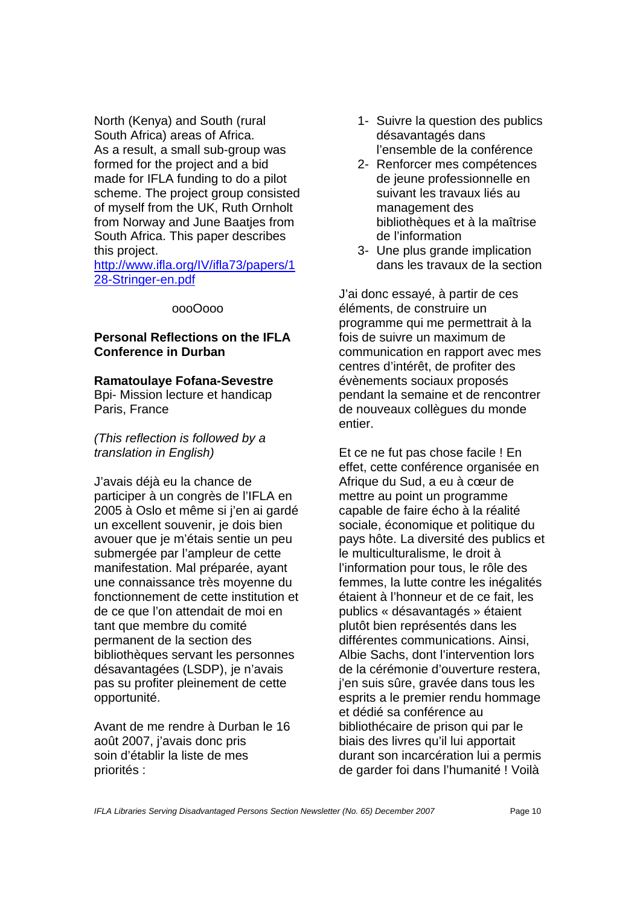North (Kenya) and South (rural South Africa) areas of Africa. As a result, a small sub-group was formed for the project and a bid made for IFLA funding to do a pilot scheme. The project group consisted of myself from the UK, Ruth Ornholt from Norway and June Baatjes from South Africa. This paper describes this project.

http://www.ifla.org/IV/ifla73/papers/1 28-Stringer-en.pdf

#### oooOooo

# **Personal Reflections on the IFLA Conference in Durban**

#### **Ramatoulaye Fofana-Sevestre**

Bpi- Mission lecture et handicap Paris, France

*(This reflection is followed by a translation in English)* 

J'avais déjà eu la chance de participer à un congrès de l'IFLA en 2005 à Oslo et même si j'en ai gardé un excellent souvenir, je dois bien avouer que je m'étais sentie un peu submergée par l'ampleur de cette manifestation. Mal préparée, ayant une connaissance très moyenne du fonctionnement de cette institution et de ce que l'on attendait de moi en tant que membre du comité permanent de la section des bibliothèques servant les personnes désavantagées (LSDP), je n'avais pas su profiter pleinement de cette opportunité.

Avant de me rendre à Durban le 16 août 2007, j'avais donc pris soin d'établir la liste de mes priorités :

- 1- Suivre la question des publics désavantagés dans l'ensemble de la conférence
- 2- Renforcer mes compétences de jeune professionnelle en suivant les travaux liés au management des bibliothèques et à la maîtrise de l'information
- 3- Une plus grande implication dans les travaux de la section

J'ai donc essayé, à partir de ces éléments, de construire un programme qui me permettrait à la fois de suivre un maximum de communication en rapport avec mes centres d'intérêt, de profiter des évènements sociaux proposés pendant la semaine et de rencontrer de nouveaux collègues du monde entier.

Et ce ne fut pas chose facile ! En effet, cette conférence organisée en Afrique du Sud, a eu à cœur de mettre au point un programme capable de faire écho à la réalité sociale, économique et politique du pays hôte. La diversité des publics et le multiculturalisme, le droit à l'information pour tous, le rôle des femmes, la lutte contre les inégalités étaient à l'honneur et de ce fait, les publics « désavantagés » étaient plutôt bien représentés dans les différentes communications. Ainsi, Albie Sachs, dont l'intervention lors de la cérémonie d'ouverture restera, j'en suis sûre, gravée dans tous les esprits a le premier rendu hommage et dédié sa conférence au bibliothécaire de prison qui par le biais des livres qu'il lui apportait durant son incarcération lui a permis de garder foi dans l'humanité ! Voilà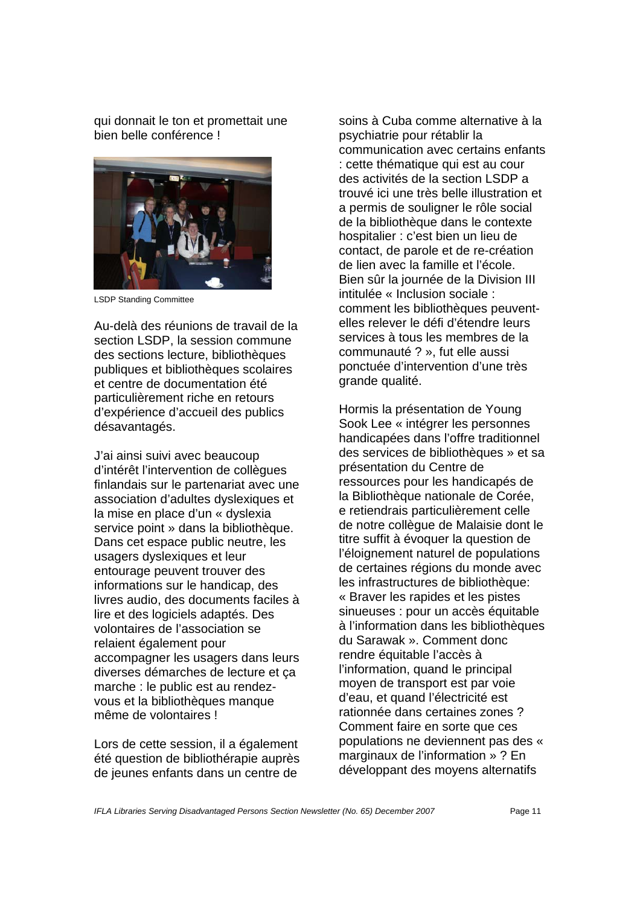qui donnait le ton et promettait une bien belle conférence !



LSDP Standing Committee

Au-delà des réunions de travail de la section LSDP, la session commune des sections lecture, bibliothèques publiques et bibliothèques scolaires et centre de documentation été particulièrement riche en retours d'expérience d'accueil des publics désavantagés.

J'ai ainsi suivi avec beaucoup d'intérêt l'intervention de collègues finlandais sur le partenariat avec une association d'adultes dyslexiques et la mise en place d'un « dyslexia service point » dans la bibliothèque. Dans cet espace public neutre, les usagers dyslexiques et leur entourage peuvent trouver des informations sur le handicap, des livres audio, des documents faciles à lire et des logiciels adaptés. Des volontaires de l'association se relaient également pour accompagner les usagers dans leurs diverses démarches de lecture et ça marche : le public est au rendezvous et la bibliothèques manque même de volontaires !

Lors de cette session, il a également été question de bibliothérapie auprès de jeunes enfants dans un centre de

soins à Cuba comme alternative à la psychiatrie pour rétablir la communication avec certains enfants : cette thématique qui est au cour des activités de la section LSDP a trouvé ici une très belle illustration et a permis de souligner le rôle social de la bibliothèque dans le contexte hospitalier : c'est bien un lieu de contact, de parole et de re-création de lien avec la famille et l'école. Bien sûr la journée de la Division III intitulée « Inclusion sociale : comment les bibliothèques peuventelles relever le défi d'étendre leurs services à tous les membres de la communauté ? », fut elle aussi ponctuée d'intervention d'une très grande qualité.

Hormis la présentation de Young Sook Lee « intégrer les personnes handicapées dans l'offre traditionnel des services de bibliothèques » et sa présentation du Centre de ressources pour les handicapés de la Bibliothèque nationale de Corée, e retiendrais particulièrement celle de notre collègue de Malaisie dont le titre suffit à évoquer la question de l'éloignement naturel de populations de certaines régions du monde avec les infrastructures de bibliothèque: « Braver les rapides et les pistes sinueuses : pour un accès équitable à l'information dans les bibliothèques du Sarawak ». Comment donc rendre équitable l'accès à l'information, quand le principal moyen de transport est par voie d'eau, et quand l'électricité est rationnée dans certaines zones ? Comment faire en sorte que ces populations ne deviennent pas des « marginaux de l'information » ? En développant des moyens alternatifs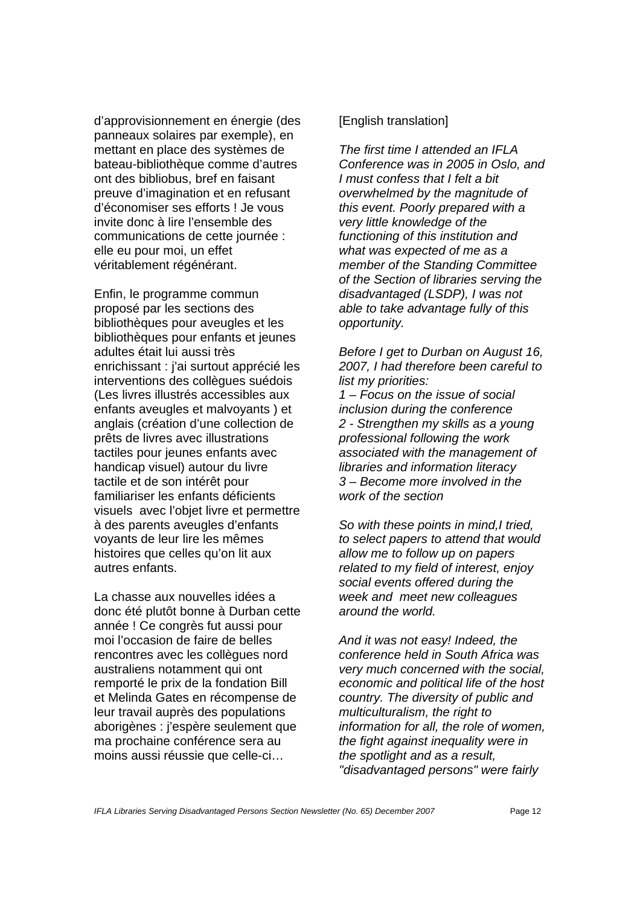d'approvisionnement en énergie (des panneaux solaires par exemple), en mettant en place des systèmes de bateau-bibliothèque comme d'autres ont des bibliobus, bref en faisant preuve d'imagination et en refusant d'économiser ses efforts ! Je vous invite donc à lire l'ensemble des communications de cette journée : elle eu pour moi, un effet véritablement régénérant.

Enfin, le programme commun proposé par les sections des bibliothèques pour aveugles et les bibliothèques pour enfants et jeunes adultes était lui aussi très enrichissant : j'ai surtout apprécié les interventions des collègues suédois (Les livres illustrés accessibles aux enfants aveugles et malvoyants ) et anglais (création d'une collection de prêts de livres avec illustrations tactiles pour jeunes enfants avec handicap visuel) autour du livre tactile et de son intérêt pour familiariser les enfants déficients visuels avec l'objet livre et permettre à des parents aveugles d'enfants voyants de leur lire les mêmes histoires que celles qu'on lit aux autres enfants.

La chasse aux nouvelles idées a donc été plutôt bonne à Durban cette année ! Ce congrès fut aussi pour moi l'occasion de faire de belles rencontres avec les collègues nord australiens notamment qui ont remporté le prix de la fondation Bill et Melinda Gates en récompense de leur travail auprès des populations aborigènes : j'espère seulement que ma prochaine conférence sera au moins aussi réussie que celle-ci…

# [English translation]

*The first time I attended an IFLA Conference was in 2005 in Oslo, and I must confess that I felt a bit overwhelmed by the magnitude of this event. Poorly prepared with a very little knowledge of the functioning of this institution and what was expected of me as a member of the Standing Committee of the Section of libraries serving the disadvantaged (LSDP), I was not able to take advantage fully of this opportunity.* 

*Before I get to Durban on August 16, 2007, I had therefore been careful to list my priorities:* 

*1 – Focus on the issue of social inclusion during the conference 2 - Strengthen my skills as a young professional following the work associated with the management of libraries and information literacy 3 – Become more involved in the work of the section* 

*So with these points in mind,I tried, to select papers to attend that would allow me to follow up on papers related to my field of interest, enjoy social events offered during the week and meet new colleagues around the world.* 

*And it was not easy! Indeed, the conference held in South Africa was very much concerned with the social, economic and political life of the host country. The diversity of public and multiculturalism, the right to information for all, the role of women, the fight against inequality were in the spotlight and as a result, "disadvantaged persons" were fairly*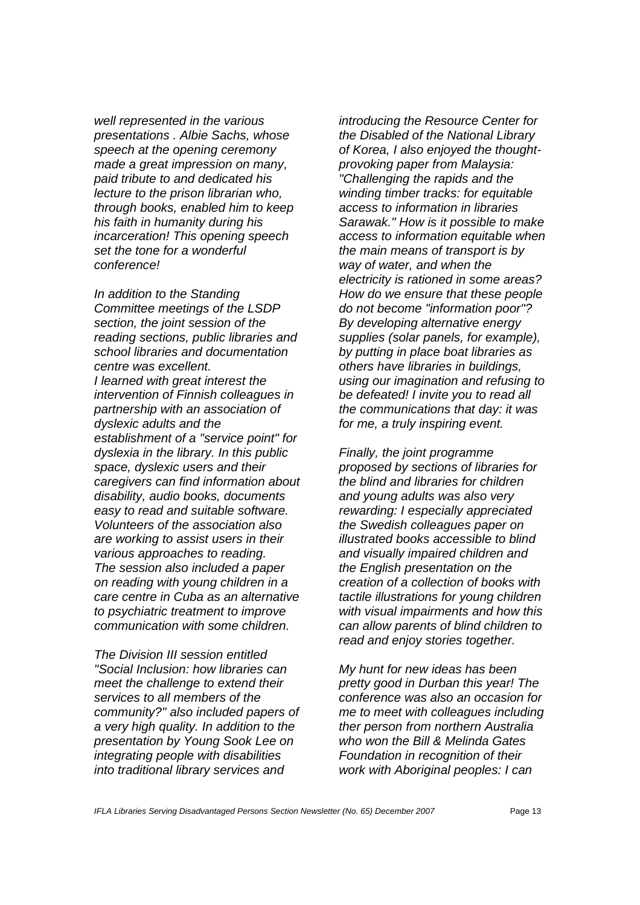*well represented in the various presentations . Albie Sachs, whose speech at the opening ceremony made a great impression on many, paid tribute to and dedicated his lecture to the prison librarian who, through books, enabled him to keep his faith in humanity during his incarceration! This opening speech set the tone for a wonderful conference!* 

*In addition to the Standing Committee meetings of the LSDP section, the joint session of the reading sections, public libraries and school libraries and documentation centre was excellent. I learned with great interest the intervention of Finnish colleagues in partnership with an association of dyslexic adults and the establishment of a "service point" for dyslexia in the library. In this public space, dyslexic users and their caregivers can find information about disability, audio books, documents easy to read and suitable software. Volunteers of the association also are working to assist users in their various approaches to reading. The session also included a paper on reading with young children in a care centre in Cuba as an alternative to psychiatric treatment to improve communication with some children.* 

*The Division III session entitled "Social Inclusion: how libraries can meet the challenge to extend their services to all members of the community?" also included papers of a very high quality. In addition to the presentation by Young Sook Lee on integrating people with disabilities into traditional library services and* 

*introducing the Resource Center for the Disabled of the National Library of Korea, I also enjoyed the thoughtprovoking paper from Malaysia: "Challenging the rapids and the winding timber tracks: for equitable access to information in libraries Sarawak." How is it possible to make access to information equitable when the main means of transport is by way of water, and when the electricity is rationed in some areas? How do we ensure that these people do not become "information poor"? By developing alternative energy supplies (solar panels, for example), by putting in place boat libraries as others have libraries in buildings, using our imagination and refusing to be defeated! I invite you to read all the communications that day: it was for me, a truly inspiring event.* 

*Finally, the joint programme proposed by sections of libraries for the blind and libraries for children and young adults was also very rewarding: I especially appreciated the Swedish colleagues paper on illustrated books accessible to blind and visually impaired children and the English presentation on the creation of a collection of books with tactile illustrations for young children with visual impairments and how this can allow parents of blind children to read and enjoy stories together.* 

*My hunt for new ideas has been pretty good in Durban this year! The conference was also an occasion for me to meet with colleagues including ther person from northern Australia who won the Bill & Melinda Gates Foundation in recognition of their work with Aboriginal peoples: I can*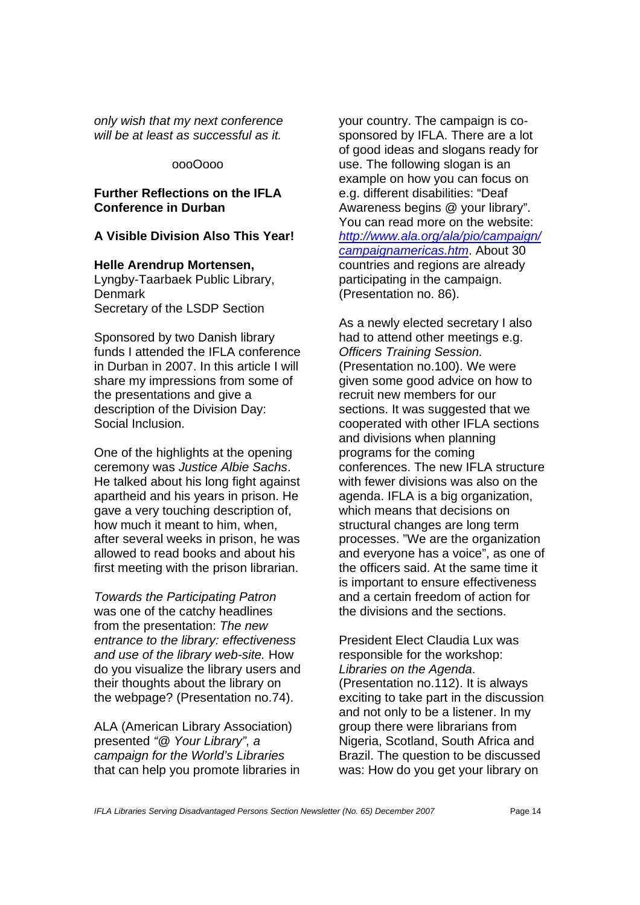*only wish that my next conference will be at least as successful as it.* 

#### oooOooo

#### **Further Reflections on the IFLA Conference in Durban**

## **A Visible Division Also This Year!**

**Helle Arendrup Mortensen,** Lyngby-Taarbaek Public Library, Denmark Secretary of the LSDP Section

Sponsored by two Danish library funds I attended the IFLA conference in Durban in 2007. In this article I will share my impressions from some of the presentations and give a description of the Division Day: Social Inclusion.

One of the highlights at the opening ceremony was *Justice Albie Sachs*. He talked about his long fight against apartheid and his years in prison. He gave a very touching description of, how much it meant to him, when, after several weeks in prison, he was allowed to read books and about his first meeting with the prison librarian.

*Towards the Participating Patron* was one of the catchy headlines from the presentation: *The new entrance to the library: effectiveness and use of the library web-site.* How do you visualize the library users and their thoughts about the library on the webpage? (Presentation no.74).

ALA (American Library Association) presented *"@ Your Library", a campaign for the World's Libraries* that can help you promote libraries in your country. The campaign is cosponsored by IFLA. There are a lot of good ideas and slogans ready for use. The following slogan is an example on how you can focus on e.g. different disabilities: "Deaf Awareness begins @ your library". You can read more on the website: *http://www.ala.org/ala/pio/campaign/ campaignamericas.htm*. About 30 countries and regions are already participating in the campaign. (Presentation no. 86).

As a newly elected secretary I also had to attend other meetings e.g. *Officers Training Session.* (Presentation no.100). We were given some good advice on how to recruit new members for our sections. It was suggested that we cooperated with other IFLA sections and divisions when planning programs for the coming conferences. The new IFLA structure with fewer divisions was also on the agenda. IFLA is a big organization, which means that decisions on structural changes are long term processes. "We are the organization and everyone has a voice", as one of the officers said. At the same time it is important to ensure effectiveness and a certain freedom of action for the divisions and the sections.

President Elect Claudia Lux was responsible for the workshop: *Libraries on the Agenda*. (Presentation no.112). It is always exciting to take part in the discussion and not only to be a listener. In my group there were librarians from Nigeria, Scotland, South Africa and Brazil. The question to be discussed was: How do you get your library on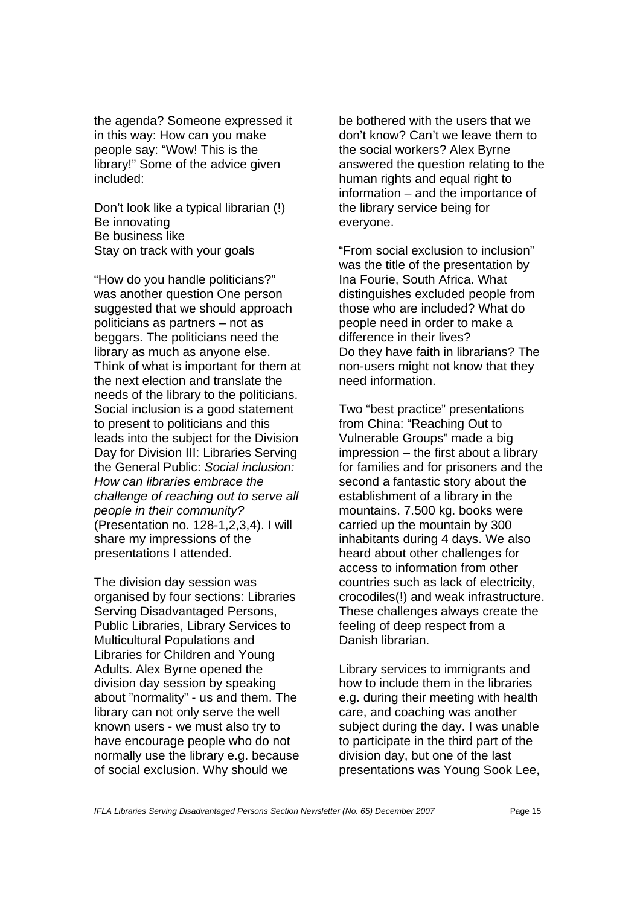the agenda? Someone expressed it in this way: How can you make people say: "Wow! This is the library!" Some of the advice given included:

Don't look like a typical librarian (!) Be innovating Be business like Stay on track with your goals

"How do you handle politicians?" was another question One person suggested that we should approach politicians as partners – not as beggars. The politicians need the library as much as anyone else. Think of what is important for them at the next election and translate the needs of the library to the politicians. Social inclusion is a good statement to present to politicians and this leads into the subject for the Division Day for Division III: Libraries Serving the General Public: *Social inclusion: How can libraries embrace the challenge of reaching out to serve all people in their community?* (Presentation no. 128-1,2,3,4). I will share my impressions of the presentations I attended.

The division day session was organised by four sections: Libraries Serving Disadvantaged Persons, Public Libraries, Library Services to Multicultural Populations and Libraries for Children and Young Adults. Alex Byrne opened the division day session by speaking about "normality" - us and them. The library can not only serve the well known users - we must also try to have encourage people who do not normally use the library e.g. because of social exclusion. Why should we

be bothered with the users that we don't know? Can't we leave them to the social workers? Alex Byrne answered the question relating to the human rights and equal right to information – and the importance of the library service being for everyone.

"From social exclusion to inclusion" was the title of the presentation by Ina Fourie, South Africa. What distinguishes excluded people from those who are included? What do people need in order to make a difference in their lives? Do they have faith in librarians? The non-users might not know that they need information.

Two "best practice" presentations from China: "Reaching Out to Vulnerable Groups" made a big impression – the first about a library for families and for prisoners and the second a fantastic story about the establishment of a library in the mountains. 7.500 kg. books were carried up the mountain by 300 inhabitants during 4 days. We also heard about other challenges for access to information from other countries such as lack of electricity, crocodiles(!) and weak infrastructure. These challenges always create the feeling of deep respect from a Danish librarian.

Library services to immigrants and how to include them in the libraries e.g. during their meeting with health care, and coaching was another subject during the day. I was unable to participate in the third part of the division day, but one of the last presentations was Young Sook Lee,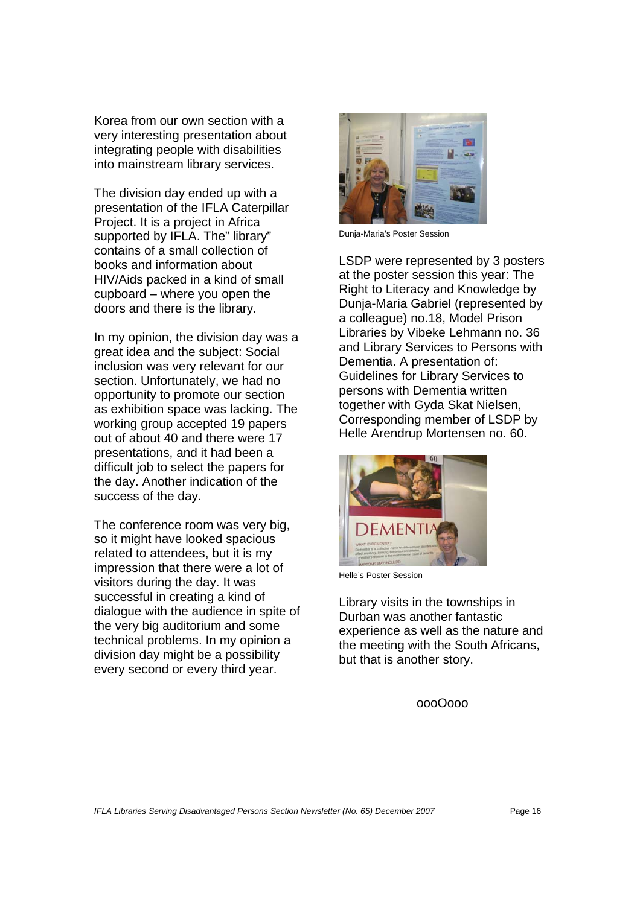Korea from our own section with a very interesting presentation about integrating people with disabilities into mainstream library services.

The division day ended up with a presentation of the IFLA Caterpillar Project. It is a project in Africa supported by IFLA. The" library" contains of a small collection of books and information about HIV/Aids packed in a kind of small cupboard – where you open the doors and there is the library.

In my opinion, the division day was a great idea and the subject: Social inclusion was very relevant for our section. Unfortunately, we had no opportunity to promote our section as exhibition space was lacking. The working group accepted 19 papers out of about 40 and there were 17 presentations, and it had been a difficult job to select the papers for the day. Another indication of the success of the day.

The conference room was very big, so it might have looked spacious related to attendees, but it is my impression that there were a lot of visitors during the day. It was successful in creating a kind of dialogue with the audience in spite of the very big auditorium and some technical problems. In my opinion a division day might be a possibility every second or every third year.



Dunja-Maria's Poster Session

LSDP were represented by 3 posters at the poster session this year: The Right to Literacy and Knowledge by Dunja-Maria Gabriel (represented by a colleague) no.18, Model Prison Libraries by Vibeke Lehmann no. 36 and Library Services to Persons with Dementia. A presentation of: Guidelines for Library Services to persons with Dementia written together with Gyda Skat Nielsen, Corresponding member of LSDP by Helle Arendrup Mortensen no. 60.



Helle's Poster Session

Library visits in the townships in Durban was another fantastic experience as well as the nature and the meeting with the South Africans, but that is another story.

oooOooo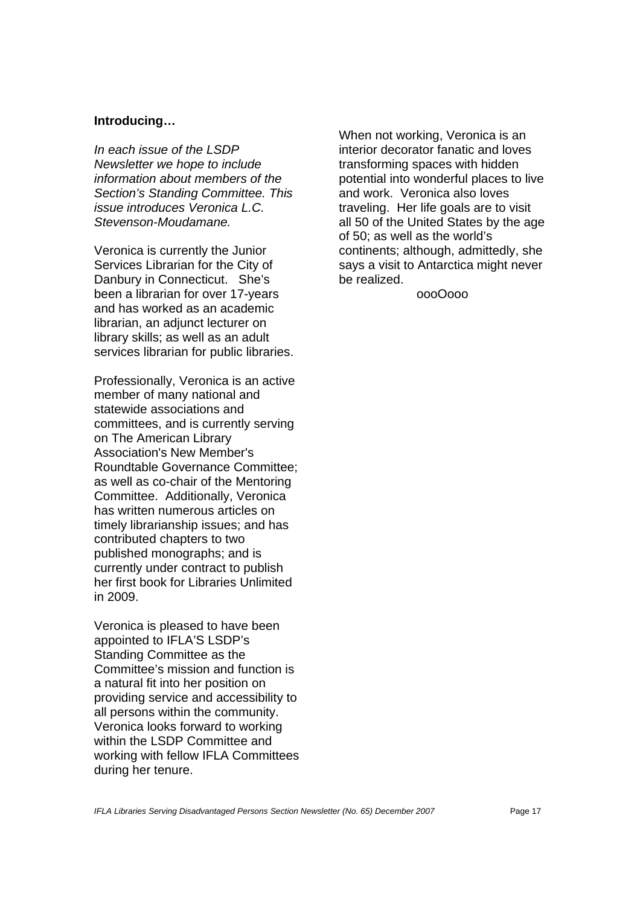#### **Introducing…**

*In each issue of the LSDP Newsletter we hope to include information about members of the Section's Standing Committee. This issue introduces Veronica L.C. Stevenson-Moudamane.* 

Veronica is currently the Junior Services Librarian for the City of Danbury in Connecticut. She's been a librarian for over 17-years and has worked as an academic librarian, an adjunct lecturer on library skills; as well as an adult services librarian for public libraries.

Professionally, Veronica is an active member of many national and statewide associations and committees, and is currently serving on The American Library Association's New Member's Roundtable Governance Committee; as well as co-chair of the Mentoring Committee. Additionally, Veronica has written numerous articles on timely librarianship issues; and has contributed chapters to two published monographs; and is currently under contract to publish her first book for Libraries Unlimited in 2009.

Veronica is pleased to have been appointed to IFLA'S LSDP's Standing Committee as the Committee's mission and function is a natural fit into her position on providing service and accessibility to all persons within the community. Veronica looks forward to working within the LSDP Committee and working with fellow IFLA Committees during her tenure.

When not working, Veronica is an interior decorator fanatic and loves transforming spaces with hidden potential into wonderful places to live and work. Veronica also loves traveling. Her life goals are to visit all 50 of the United States by the age of 50; as well as the world's continents; although, admittedly, she says a visit to Antarctica might never be realized.

oooOooo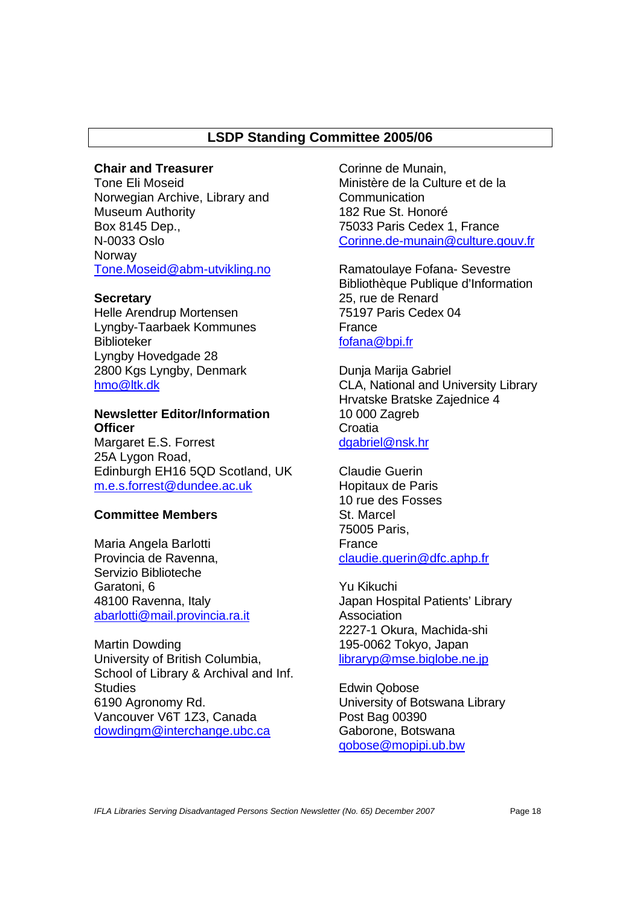# **LSDP Standing Committee 2005/06**

# **Chair and Treasurer**

Tone Eli Moseid Norwegian Archive, Library and Museum Authority Box 8145 Dep., N-0033 Oslo Norway Tone.Moseid@abm-utvikling.no

#### **Secretary**

Helle Arendrup Mortensen Lyngby-Taarbaek Kommunes Biblioteker Lyngby Hovedgade 28 2800 Kgs Lyngby, Denmark hmo@ltk.dk

# **Newsletter Editor/Information Officer**

Margaret E.S. Forrest 25A Lygon Road, Edinburgh EH16 5QD Scotland, UK m.e.s.forrest@dundee.ac.uk

# **Committee Members**

Maria Angela Barlotti Provincia de Ravenna, Servizio Biblioteche Garatoni, 6 48100 Ravenna, Italy abarlotti@mail.provincia.ra.it

Martin Dowding University of British Columbia, School of Library & Archival and Inf. **Studies** 6190 Agronomy Rd. Vancouver V6T 1Z3, Canada dowdingm@interchange.ubc.ca

Corinne de Munain, Ministère de la Culture et de la Communication 182 Rue St. Honoré 75033 Paris Cedex 1, France Corinne.de-munain@culture.gouv.fr

Ramatoulaye Fofana- Sevestre Bibliothèque Publique d'Information 25, rue de Renard 75197 Paris Cedex 04 **France** fofana@bpi.fr

Dunja Marija Gabriel CLA, National and University Library Hrvatske Bratske Zajednice 4 10 000 Zagreb Croatia dgabriel@nsk.hr

Claudie Guerin Hopitaux de Paris 10 rue des Fosses St. Marcel 75005 Paris, France claudie.guerin@dfc.aphp.fr

Yu Kikuchi Japan Hospital Patients' Library Association 2227-1 Okura, Machida-shi 195-0062 Tokyo, Japan libraryp@mse.biglobe.ne.jp

Edwin Qobose University of Botswana Library Post Bag 00390 Gaborone, Botswana qobose@mopipi.ub.bw